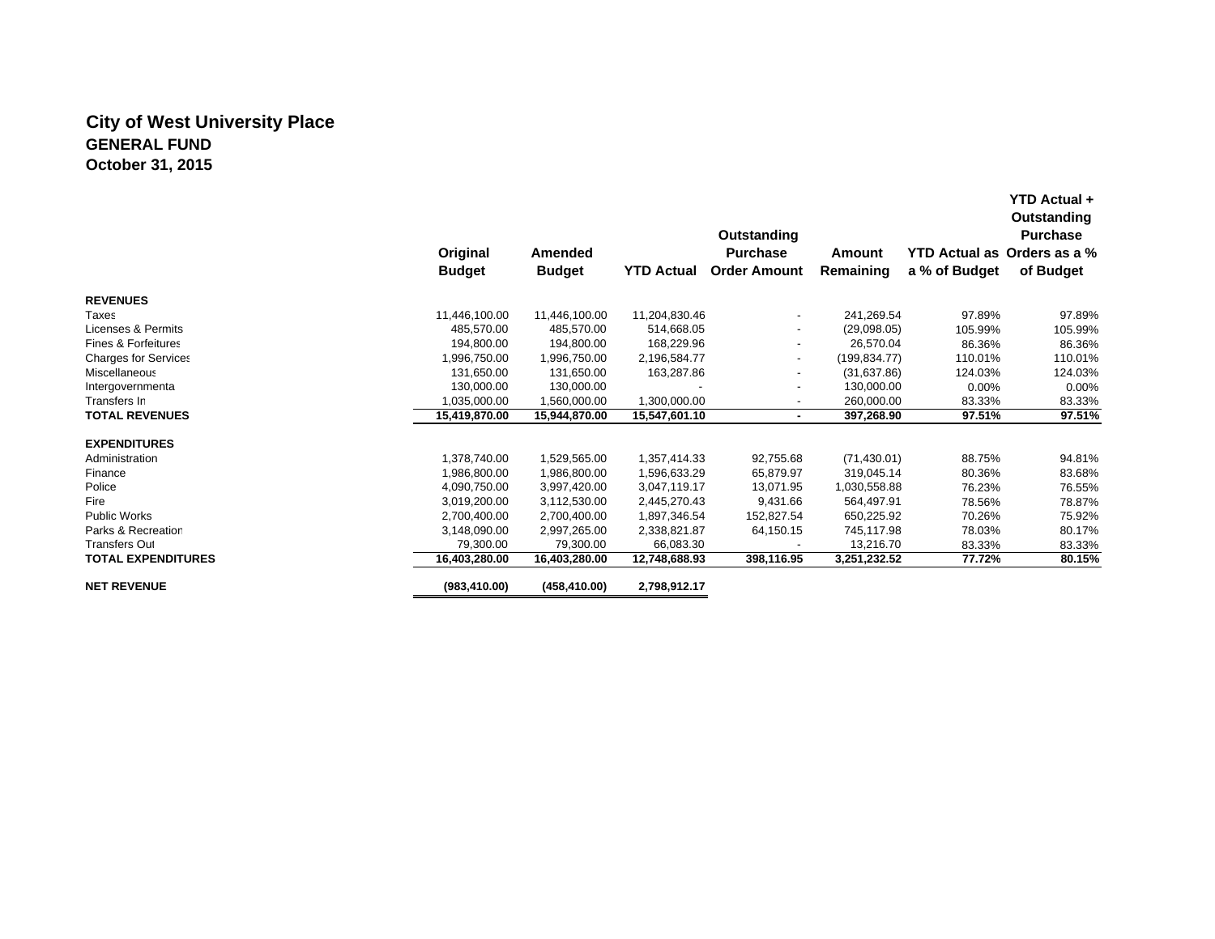## **City of West University Place GENERAL FUNDOctober 31, 2015**

|                                |               |               |                   | Outstanding              |               |               | YTD Actual +<br>Outstanding<br><b>Purchase</b> |
|--------------------------------|---------------|---------------|-------------------|--------------------------|---------------|---------------|------------------------------------------------|
|                                | Original      | Amended       |                   | <b>Purchase</b>          | Amount        | YTD Actual as | Orders as a %                                  |
|                                | <b>Budget</b> | <b>Budget</b> | <b>YTD Actual</b> | <b>Order Amount</b>      | Remaining     | a % of Budget | of Budget                                      |
| <b>REVENUES</b>                |               |               |                   |                          |               |               |                                                |
| Taxes                          | 11,446,100.00 | 11,446,100.00 | 11,204,830.46     | $\overline{\phantom{a}}$ | 241,269.54    | 97.89%        | 97.89%                                         |
| Licenses & Permits             | 485.570.00    | 485,570.00    | 514,668.05        |                          | (29,098.05)   | 105.99%       | 105.99%                                        |
| <b>Fines &amp; Forfeitures</b> | 194,800.00    | 194.800.00    | 168,229.96        |                          | 26.570.04     | 86.36%        | 86.36%                                         |
| <b>Charges for Services</b>    | 1,996,750.00  | 1,996,750.00  | 2,196,584.77      | $\blacksquare$           | (199, 834.77) | 110.01%       | 110.01%                                        |
| Miscellaneous                  | 131,650.00    | 131.650.00    | 163,287.86        | $\overline{\phantom{a}}$ | (31,637.86)   | 124.03%       | 124.03%                                        |
| Intergovernmenta               | 130.000.00    | 130,000.00    |                   | $\overline{\phantom{a}}$ | 130,000.00    | 0.00%         | 0.00%                                          |
| Transfers In                   | 1.035.000.00  | 1,560,000.00  | 1,300,000.00      | $\overline{\phantom{a}}$ | 260,000.00    | 83.33%        | 83.33%                                         |
| <b>TOTAL REVENUES</b>          | 15,419,870.00 | 15,944,870.00 | 15,547,601.10     | ٠                        | 397,268.90    | 97.51%        | 97.51%                                         |
| <b>EXPENDITURES</b>            |               |               |                   |                          |               |               |                                                |
| Administration                 | 1,378,740.00  | 1,529,565.00  | 1,357,414.33      | 92,755.68                | (71, 430.01)  | 88.75%        | 94.81%                                         |
| Finance                        | 1,986,800.00  | 1,986,800.00  | 1,596,633.29      | 65,879.97                | 319,045.14    | 80.36%        | 83.68%                                         |
| Police                         | 4,090,750.00  | 3,997,420.00  | 3,047,119.17      | 13,071.95                | 1,030,558.88  | 76.23%        | 76.55%                                         |
| Fire                           | 3,019,200.00  | 3,112,530.00  | 2,445,270.43      | 9,431.66                 | 564,497.91    | 78.56%        | 78.87%                                         |
| Public Works                   | 2,700,400.00  | 2,700,400.00  | 1,897,346.54      | 152,827.54               | 650,225.92    | 70.26%        | 75.92%                                         |
| Parks & Recreation             | 3,148,090.00  | 2,997,265.00  | 2,338,821.87      | 64,150.15                | 745,117.98    | 78.03%        | 80.17%                                         |
| <b>Transfers Out</b>           | 79,300.00     | 79,300.00     | 66,083.30         |                          | 13,216.70     | 83.33%        | 83.33%                                         |
| <b>TOTAL EXPENDITURES</b>      | 16,403,280.00 | 16,403,280.00 | 12,748,688.93     | 398,116.95               | 3,251,232.52  | 77.72%        | 80.15%                                         |
| <b>NET REVENUE</b>             | (983, 410.00) | (458, 410.00) | 2,798,912.17      |                          |               |               |                                                |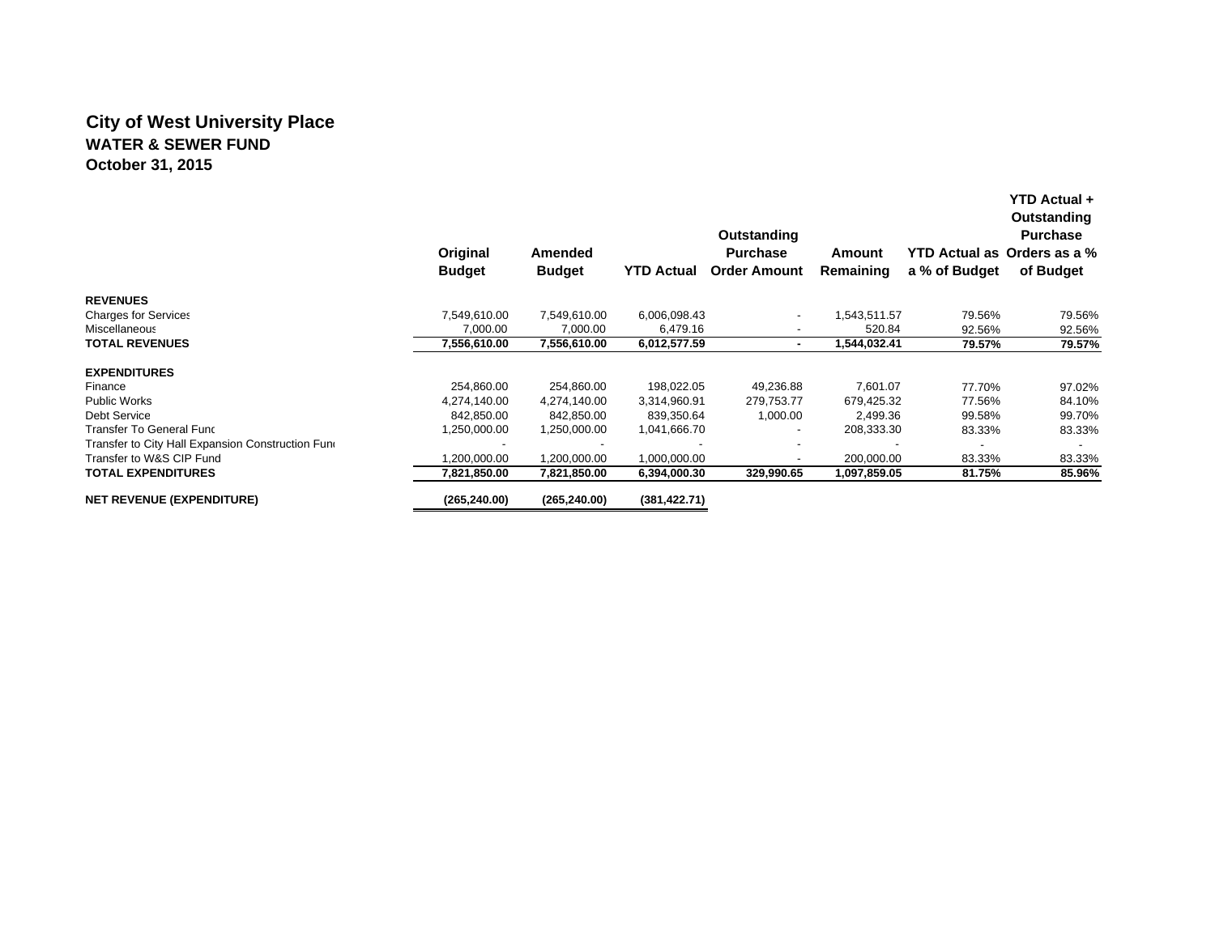## **City of West University Place WATER & SEWER FUNDOctober 31, 2015**

|                                                   |                 |               |                   | Outstanding              |              | Outstanding<br><b>Purchase</b> |                             |  |
|---------------------------------------------------|-----------------|---------------|-------------------|--------------------------|--------------|--------------------------------|-----------------------------|--|
|                                                   | <b>Original</b> | Amended       |                   | <b>Purchase</b>          | Amount       |                                | YTD Actual as Orders as a % |  |
|                                                   | <b>Budget</b>   | <b>Budget</b> | <b>YTD Actual</b> | <b>Order Amount</b>      | Remaining    | a % of Budget                  | of Budget                   |  |
| <b>REVENUES</b>                                   |                 |               |                   |                          |              |                                |                             |  |
| <b>Charges for Services</b>                       | 7,549,610.00    | 7,549,610.00  | 6,006,098.43      | $\overline{\phantom{a}}$ | 543,511.57   | 79.56%                         | 79.56%                      |  |
| <b>Miscellaneous</b>                              | 7,000.00        | 7,000.00      | 6,479.16          | $\overline{\phantom{a}}$ | 520.84       | 92.56%                         | 92.56%                      |  |
| <b>TOTAL REVENUES</b>                             | 7,556,610.00    | 7,556,610.00  | 6,012,577.59      | ۰                        | 1,544,032.41 | 79.57%                         | 79.57%                      |  |
| <b>EXPENDITURES</b>                               |                 |               |                   |                          |              |                                |                             |  |
| Finance                                           | 254,860.00      | 254,860.00    | 198,022.05        | 49,236.88                | 7,601.07     | 77.70%                         | 97.02%                      |  |
| <b>Public Works</b>                               | 4.274.140.00    | 4,274,140.00  | 3,314,960.91      | 279,753.77               | 679.425.32   | 77.56%                         | 84.10%                      |  |
| Debt Service                                      | 842,850.00      | 842,850.00    | 839,350.64        | 1,000.00                 | 2,499.36     | 99.58%                         | 99.70%                      |  |
| Transfer To General Func                          | 1,250,000.00    | 1,250,000.00  | 1,041,666.70      | $\overline{\phantom{a}}$ | 208,333.30   | 83.33%                         | 83.33%                      |  |
| Transfer to City Hall Expansion Construction Funo |                 |               |                   | $\overline{\phantom{a}}$ |              |                                |                             |  |
| Transfer to W&S CIP Fund                          | ,200,000.00     | 1,200,000.00  | 1,000,000.00      | ٠                        | 200,000.00   | 83.33%                         | 83.33%                      |  |
| <b>TOTAL EXPENDITURES</b>                         | 7,821,850.00    | 7,821,850.00  | 6,394,000.30      | 329,990.65               | 1,097,859.05 | 81.75%                         | 85.96%                      |  |
| <b>NET REVENUE (EXPENDITURE)</b>                  | (265, 240.00)   | (265, 240.00) | (381, 422.71)     |                          |              |                                |                             |  |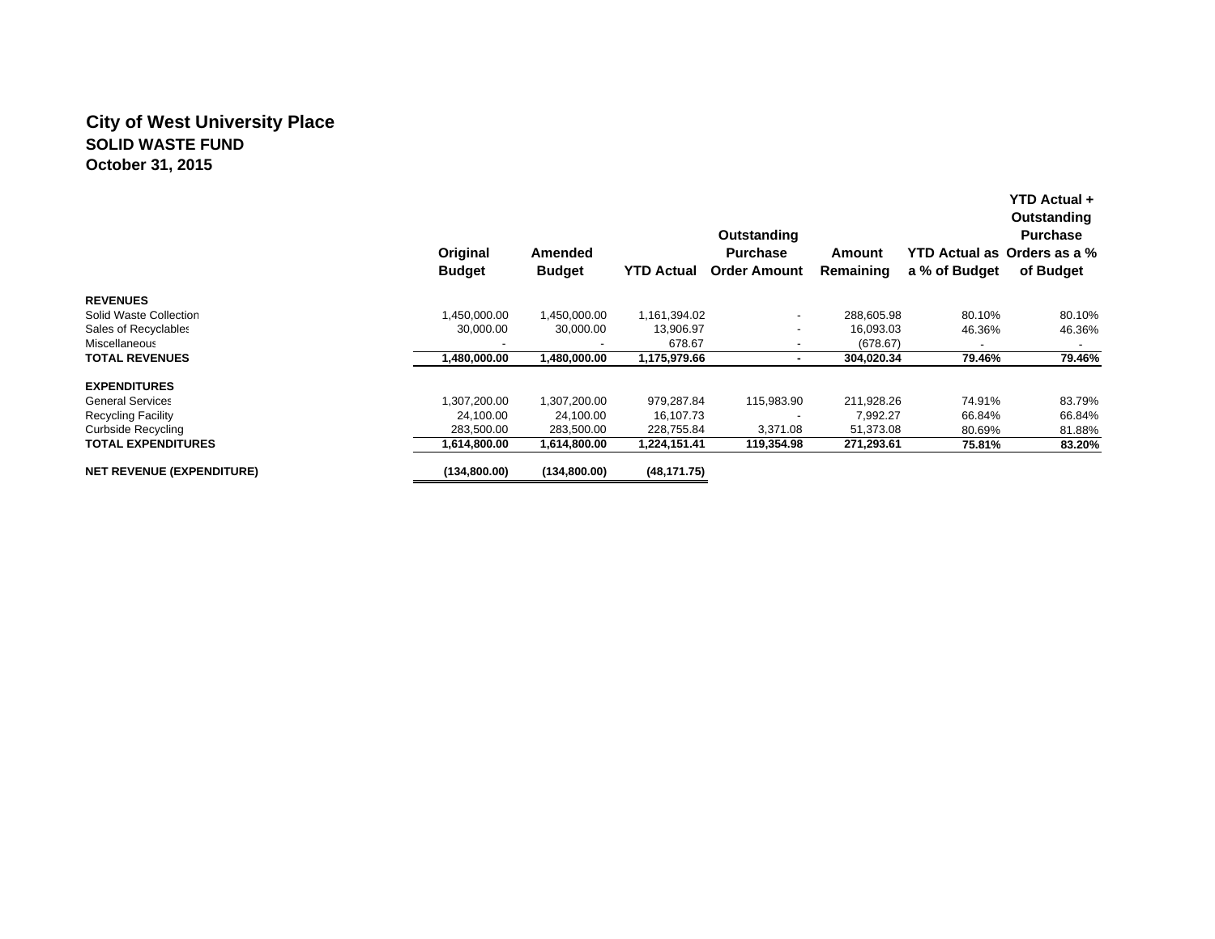## **City of West University Place SOLID WASTE FUNDOctober 31, 2015**

|                                  | Original<br><b>Budget</b> | Amended<br><b>Budget</b> | <b>YTD Actual</b> | Outstanding<br><b>Purchase</b><br><b>Order Amount</b> | Amount<br>Remaining | a % of Budget | YTD Actual +<br>Outstanding<br><b>Purchase</b><br>YTD Actual as Orders as a %<br>of Budget |
|----------------------------------|---------------------------|--------------------------|-------------------|-------------------------------------------------------|---------------------|---------------|--------------------------------------------------------------------------------------------|
| <b>REVENUES</b>                  |                           |                          |                   |                                                       |                     |               |                                                                                            |
| Solid Waste Collection           | 1,450,000.00              | 1,450,000.00             | 1,161,394.02      | $\overline{\phantom{a}}$                              | 288,605.98          | 80.10%        | 80.10%                                                                                     |
| Sales of Recyclables             | 30,000.00                 | 30,000.00                | 13,906.97         | $\overline{\phantom{a}}$                              | 16,093.03           | 46.36%        | 46.36%                                                                                     |
| Miscellaneous                    |                           |                          | 678.67            |                                                       | (678.67)            |               |                                                                                            |
| <b>TOTAL REVENUES</b>            | ,480,000.00               | 1,480,000.00             | 1,175,979.66      | ۰                                                     | 304,020.34          | 79.46%        | 79.46%                                                                                     |
| <b>EXPENDITURES</b>              |                           |                          |                   |                                                       |                     |               |                                                                                            |
| <b>General Services</b>          | 1,307,200.00              | 1,307,200.00             | 979,287.84        | 115,983.90                                            | 211,928.26          | 74.91%        | 83.79%                                                                                     |
| <b>Recycling Facility</b>        | 24,100.00                 | 24,100.00                | 16,107.73         |                                                       | 7,992.27            | 66.84%        | 66.84%                                                                                     |
| Curbside Recycling               | 283,500.00                | 283,500.00               | 228,755.84        | 3,371.08                                              | 51,373.08           | 80.69%        | 81.88%                                                                                     |
| <b>TOTAL EXPENDITURES</b>        | 1,614,800.00              | 1,614,800.00             | 1,224,151.41      | 119,354.98                                            | 271,293.61          | 75.81%        | 83.20%                                                                                     |
| <b>NET REVENUE (EXPENDITURE)</b> | (134,800.00)              | (134,800.00)             | (48, 171.75)      |                                                       |                     |               |                                                                                            |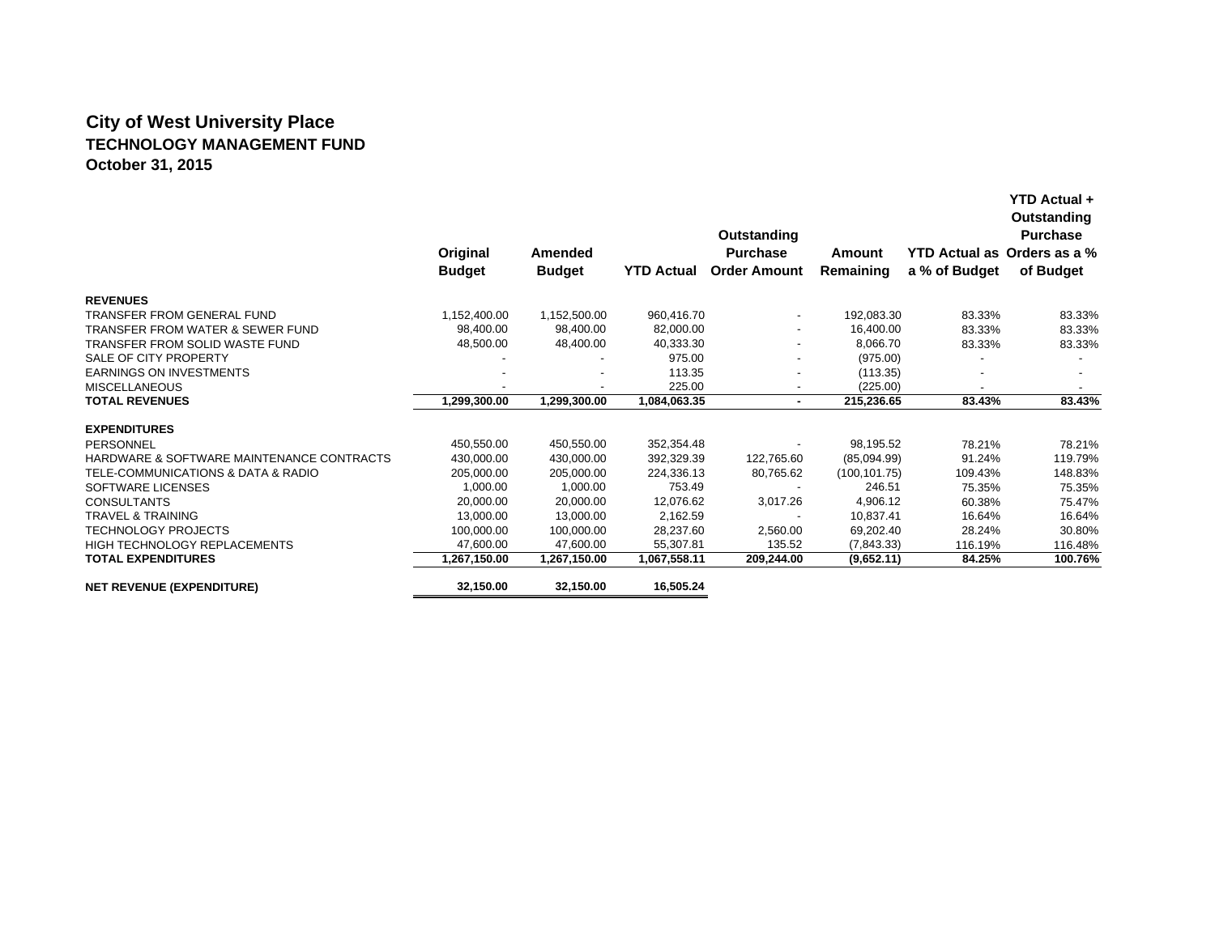# **City of West University Place TECHNOLOGY MANAGEMENT FUND October 31, 2015**

|                                             |               |               |                   | Outstanding              |               |                             | Outstanding<br><b>Purchase</b> |
|---------------------------------------------|---------------|---------------|-------------------|--------------------------|---------------|-----------------------------|--------------------------------|
|                                             | Original      | Amended       |                   | <b>Purchase</b>          | Amount        | YTD Actual as Orders as a % |                                |
|                                             | <b>Budget</b> | <b>Budget</b> | <b>YTD Actual</b> | <b>Order Amount</b>      | Remaining     | a % of Budget               | of Budget                      |
| <b>REVENUES</b>                             |               |               |                   |                          |               |                             |                                |
| TRANSFER FROM GENERAL FUND                  | 1,152,400.00  | 1,152,500.00  | 960,416.70        | $\overline{\phantom{a}}$ | 192,083.30    | 83.33%                      | 83.33%                         |
| <b>TRANSFER FROM WATER &amp; SEWER FUND</b> | 98,400.00     | 98,400.00     | 82,000.00         | ٠                        | 16,400.00     | 83.33%                      | 83.33%                         |
| TRANSFER FROM SOLID WASTE FUND              | 48,500.00     | 48,400.00     | 40,333.30         | $\overline{\phantom{a}}$ | 8.066.70      | 83.33%                      | 83.33%                         |
| SALE OF CITY PROPERTY                       |               |               | 975.00            |                          | (975.00)      |                             |                                |
| <b>EARNINGS ON INVESTMENTS</b>              |               |               | 113.35            |                          | (113.35)      |                             |                                |
| <b>MISCELLANEOUS</b>                        |               |               | 225.00            | $\overline{\phantom{a}}$ | (225.00)      |                             |                                |
| <b>TOTAL REVENUES</b>                       | 1,299,300.00  | 1,299,300.00  | 1,084,063.35      | $\sim$                   | 215,236.65    | 83.43%                      | 83.43%                         |
| <b>EXPENDITURES</b>                         |               |               |                   |                          |               |                             |                                |
| PERSONNEL                                   | 450,550.00    | 450,550.00    | 352,354.48        |                          | 98,195.52     | 78.21%                      | 78.21%                         |
| HARDWARE & SOFTWARE MAINTENANCE CONTRACTS   | 430,000.00    | 430,000.00    | 392,329.39        | 122,765.60               | (85,094.99)   | 91.24%                      | 119.79%                        |
| TELE-COMMUNICATIONS & DATA & RADIO          | 205,000.00    | 205.000.00    | 224,336.13        | 80,765.62                | (100, 101.75) | 109.43%                     | 148.83%                        |
| SOFTWARE LICENSES                           | 1,000.00      | 1,000.00      | 753.49            |                          | 246.51        | 75.35%                      | 75.35%                         |
| <b>CONSULTANTS</b>                          | 20,000.00     | 20,000.00     | 12,076.62         | 3,017.26                 | 4,906.12      | 60.38%                      | 75.47%                         |
| <b>TRAVEL &amp; TRAINING</b>                | 13.000.00     | 13.000.00     | 2,162.59          |                          | 10,837.41     | 16.64%                      | 16.64%                         |
| <b>TECHNOLOGY PROJECTS</b>                  | 100,000.00    | 100.000.00    | 28.237.60         | 2,560.00                 | 69,202.40     | 28.24%                      | 30.80%                         |
| HIGH TECHNOLOGY REPLACEMENTS                | 47,600.00     | 47,600.00     | 55,307.81         | 135.52                   | (7,843.33)    | 116.19%                     | 116.48%                        |
| <b>TOTAL EXPENDITURES</b>                   | 1,267,150.00  | 1,267,150.00  | 1,067,558.11      | 209,244.00               | (9,652.11)    | 84.25%                      | 100.76%                        |
| <b>NET REVENUE (EXPENDITURE)</b>            | 32,150.00     | 32,150.00     | 16,505.24         |                          |               |                             |                                |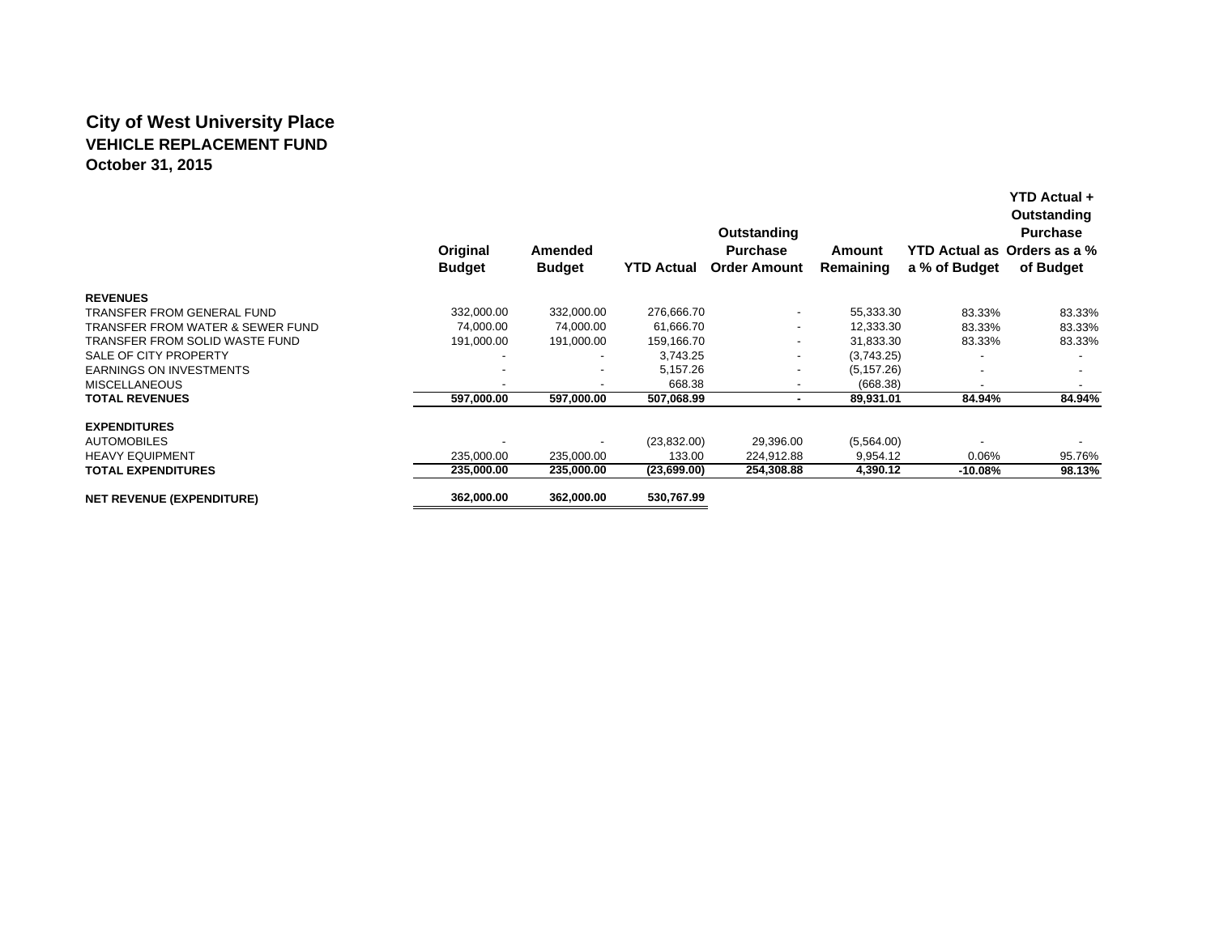## **City of West University Place VEHICLE REPLACEMENT FUNDOctober 31, 2015**

|                                             |                           |                          |                   | Outstanding                            |                     | Outstanding<br><b>Purchase</b> |                                          |  |
|---------------------------------------------|---------------------------|--------------------------|-------------------|----------------------------------------|---------------------|--------------------------------|------------------------------------------|--|
|                                             | Original<br><b>Budget</b> | Amended<br><b>Budget</b> | <b>YTD Actual</b> | <b>Purchase</b><br><b>Order Amount</b> | Amount<br>Remaining | a % of Budget                  | YTD Actual as Orders as a %<br>of Budget |  |
| <b>REVENUES</b>                             |                           |                          |                   |                                        |                     |                                |                                          |  |
| TRANSFER FROM GENERAL FUND                  | 332,000.00                | 332,000.00               | 276,666.70        | $\overline{\phantom{a}}$               | 55,333.30           | 83.33%                         | 83.33%                                   |  |
| <b>TRANSFER FROM WATER &amp; SEWER FUND</b> | 74,000.00                 | 74,000.00                | 61,666.70         | ٠                                      | 12,333.30           | 83.33%                         | 83.33%                                   |  |
| TRANSFER FROM SOLID WASTE FUND              | 191,000.00                | 191.000.00               | 159,166.70        | $\overline{\phantom{a}}$               | 31.833.30           | 83.33%                         | 83.33%                                   |  |
| SALE OF CITY PROPERTY                       |                           |                          | 3,743.25          | ٠                                      | (3,743.25)          |                                |                                          |  |
| <b>EARNINGS ON INVESTMENTS</b>              |                           | $\overline{\phantom{0}}$ | 5,157.26          | ٠                                      | (5, 157.26)         |                                |                                          |  |
| <b>MISCELLANEOUS</b>                        |                           |                          | 668.38            |                                        | (668.38)            |                                |                                          |  |
| <b>TOTAL REVENUES</b>                       | 597,000.00                | 597,000.00               | 507,068.99        | ۰                                      | 89,931.01           | 84.94%                         | 84.94%                                   |  |
| <b>EXPENDITURES</b>                         |                           |                          |                   |                                        |                     |                                |                                          |  |
| <b>AUTOMOBILES</b>                          |                           |                          | (23,832.00)       | 29,396.00                              | (5,564.00)          |                                |                                          |  |
| <b>HEAVY EQUIPMENT</b>                      | 235,000.00                | 235.000.00               | 133.00            | 224,912.88                             | 9,954.12            | $0.06\%$                       | 95.76%                                   |  |
| <b>TOTAL EXPENDITURES</b>                   | 235,000.00                | 235,000.00               | (23,699.00)       | 254,308.88                             | 4,390.12            | -10.08%                        | 98.13%                                   |  |
| <b>NET REVENUE (EXPENDITURE)</b>            | 362,000.00                | 362,000.00               | 530,767.99        |                                        |                     |                                |                                          |  |